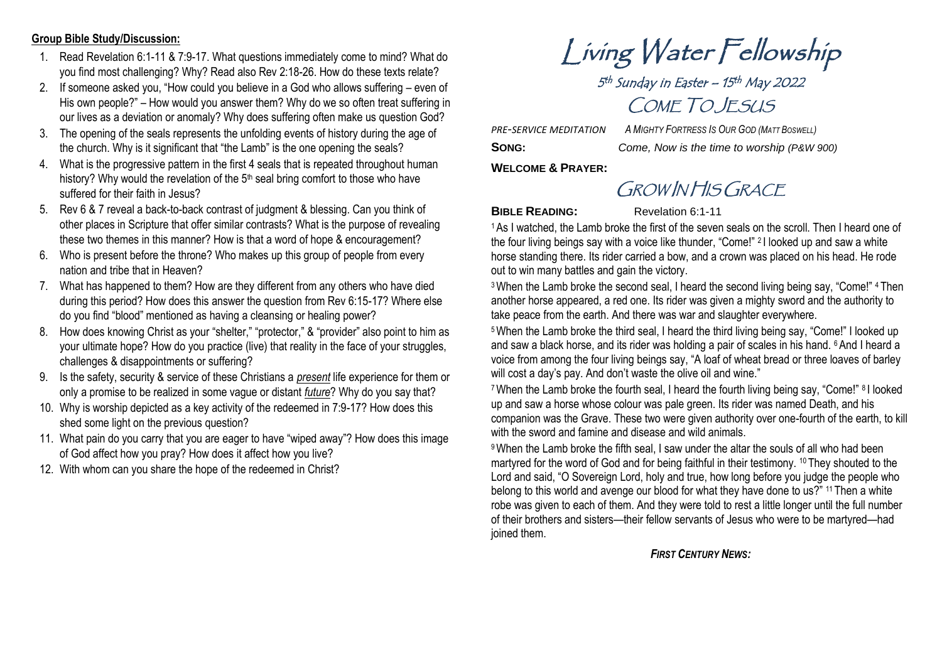## **Group Bible Study/Discussion:**

- 1. Read Revelation 6:1-11 & 7:9-17. What questions immediately come to mind? What do you find most challenging? Why? Read also Rev 2:18-26. How do these texts relate?
- 2. If someone asked you, "How could you believe in a God who allows suffering even of His own people?" – How would you answer them? Why do we so often treat suffering in our lives as a deviation or anomaly? Why does suffering often make us question God?
- 3. The opening of the seals represents the unfolding events of history during the age of the church. Why is it significant that "the Lamb" is the one opening the seals?
- 4. What is the progressive pattern in the first 4 seals that is repeated throughout human history? Why would the revelation of the  $5<sup>th</sup>$  seal bring comfort to those who have suffered for their faith in Jesus?
- 5. Rev 6 & 7 reveal a back-to-back contrast of judgment & blessing. Can you think of other places in Scripture that offer similar contrasts? What is the purpose of revealing these two themes in this manner? How is that a word of hope & encouragement?
- 6. Who is present before the throne? Who makes up this group of people from every nation and tribe that in Heaven?
- 7. What has happened to them? How are they different from any others who have died during this period? How does this answer the question from Rev 6:15-17? Where else do you find "blood" mentioned as having a cleansing or healing power?
- 8. How does knowing Christ as your "shelter," "protector," & "provider" also point to him as your ultimate hope? How do you practice (live) that reality in the face of your struggles, challenges & disappointments or suffering?
- 9. Is the safety, security & service of these Christians a *present* life experience for them or only a promise to be realized in some vague or distant *future*? Why do you say that?
- 10. Why is worship depicted as a key activity of the redeemed in 7:9-17? How does this shed some light on the previous question?
- 11. What pain do you carry that you are eager to have "wiped away"? How does this image of God affect how you pray? How does it affect how you live?
- 12. With whom can you share the hope of the redeemed in Christ?

Living Water Fellowship

5<sup>th</sup> Sunday in Easter – 15<sup>th</sup> May 2022 COME TO JESUS

*PRE-SERVICE MEDITATION A MIGHTY FORTRESS IS OUR GOD (MATT BOSWELL)* **SONG:** *Come, Now is the time to worship (P&W 900)* 

**WELCOME & PRAYER:**

GROW IN HIS GRACE

**BIBLE READING:** Revelation 6:1-11

<sup>1</sup> As I watched, the Lamb broke the first of the seven seals on the scroll. Then I heard one of the four living beings say with a voice like thunder, "Come!" <sup>2</sup> I looked up and saw a white horse standing there. Its rider carried a bow, and a crown was placed on his head. He rode out to win many battles and gain the victory.

<sup>3</sup> When the Lamb broke the second seal, I heard the second living being say, "Come!" <sup>4</sup> Then another horse appeared, a red one. Its rider was given a mighty sword and the authority to take peace from the earth. And there was war and slaughter everywhere.

<sup>5</sup>When the Lamb broke the third seal, I heard the third living being say, "Come!" I looked up and saw a black horse, and its rider was holding a pair of scales in his hand. 6And I heard a voice from among the four living beings say, "A loaf of wheat bread or three loaves of barley will cost a day's pay. And don't waste the olive oil and wine."

<sup>7</sup> When the Lamb broke the fourth seal, I heard the fourth living being say, "Come!" <sup>8</sup> I looked up and saw a horse whose colour was pale green. Its rider was named Death, and his companion was the Grave. These two were given authority over one-fourth of the earth, to kill with the sword and famine and disease and wild animals.

<sup>9</sup>When the Lamb broke the fifth seal, I saw under the altar the souls of all who had been martyred for the word of God and for being faithful in their testimony. <sup>10</sup> They shouted to the Lord and said, "O Sovereign Lord, holy and true, how long before you judge the people who belong to this world and avenge our blood for what they have done to us?" 11 Then a white robe was given to each of them. And they were told to rest a little longer until the full number of their brothers and sisters—their fellow servants of Jesus who were to be martyred—had joined them.

*FIRST CENTURY NEWS:*